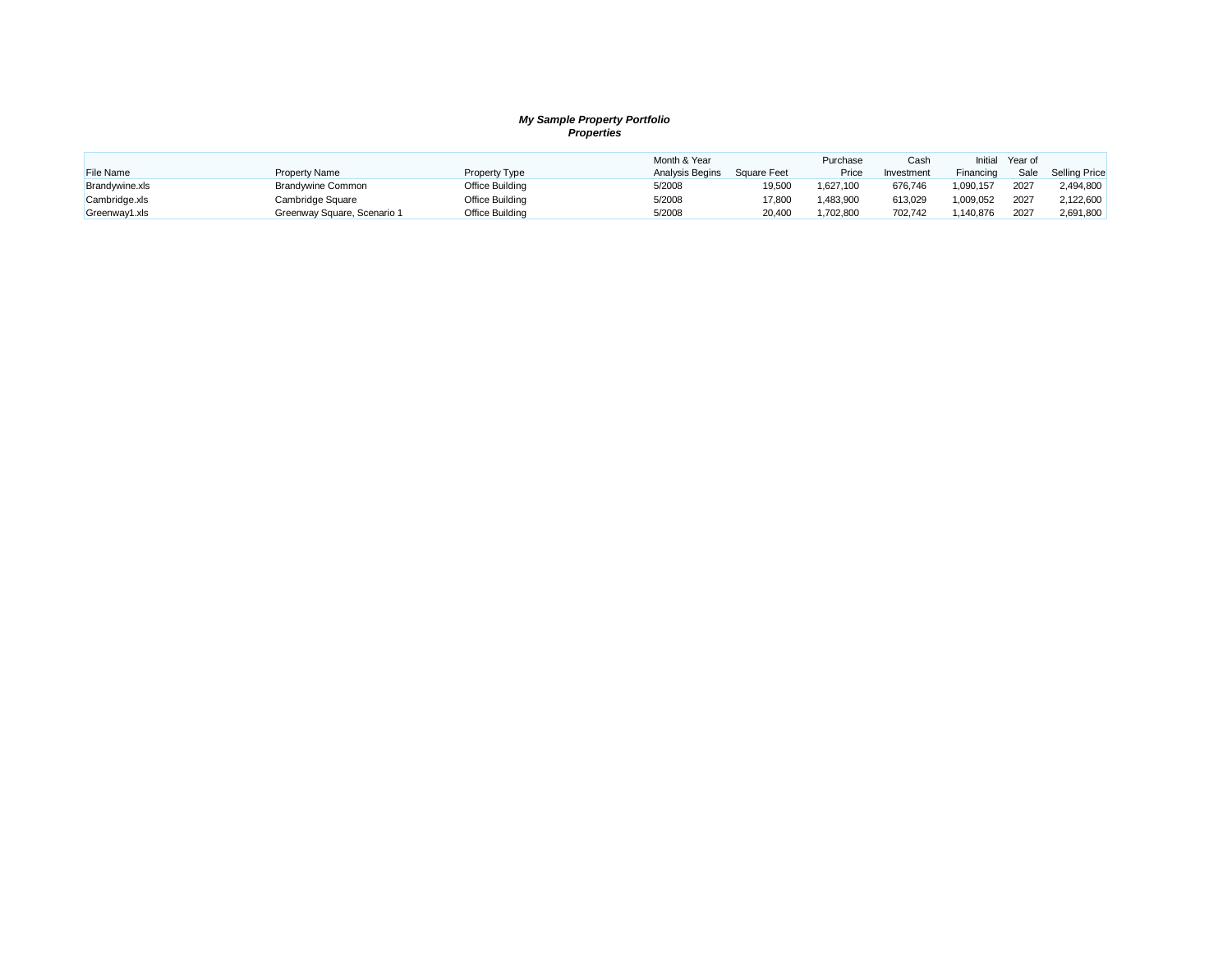### *My Sample Property Portfolio Properties*

|                |                             |                 | Month & Year    |             | Purchase  | Cash       | Initial   | Year of |                      |
|----------------|-----------------------------|-----------------|-----------------|-------------|-----------|------------|-----------|---------|----------------------|
| File Name      | <b>Property Name</b>        | Property Type   | Analysis Begins | Square Feet | Price     | Investment | Financing | Sale    | <b>Selling Price</b> |
| Brandywine.xls | <b>Brandywine Common</b>    | Office Building | 5/2008          | 19,500      | 1,627,100 | 676,746    | 1,090,157 | 2027    | 2,494,800            |
| Cambridge.xls  | Cambridge Square            | Office Building | 5/2008          | 17.800      | 1.483.900 | 613,029    | 1,009,052 | 2027    | 2.122.600            |
| Greenway1.xls  | Greenway Square, Scenario 1 | Office Building | 5/2008          | 20.400      | 1.702.800 | 702.742    | ,140,876  | 2027    | 2,691,800            |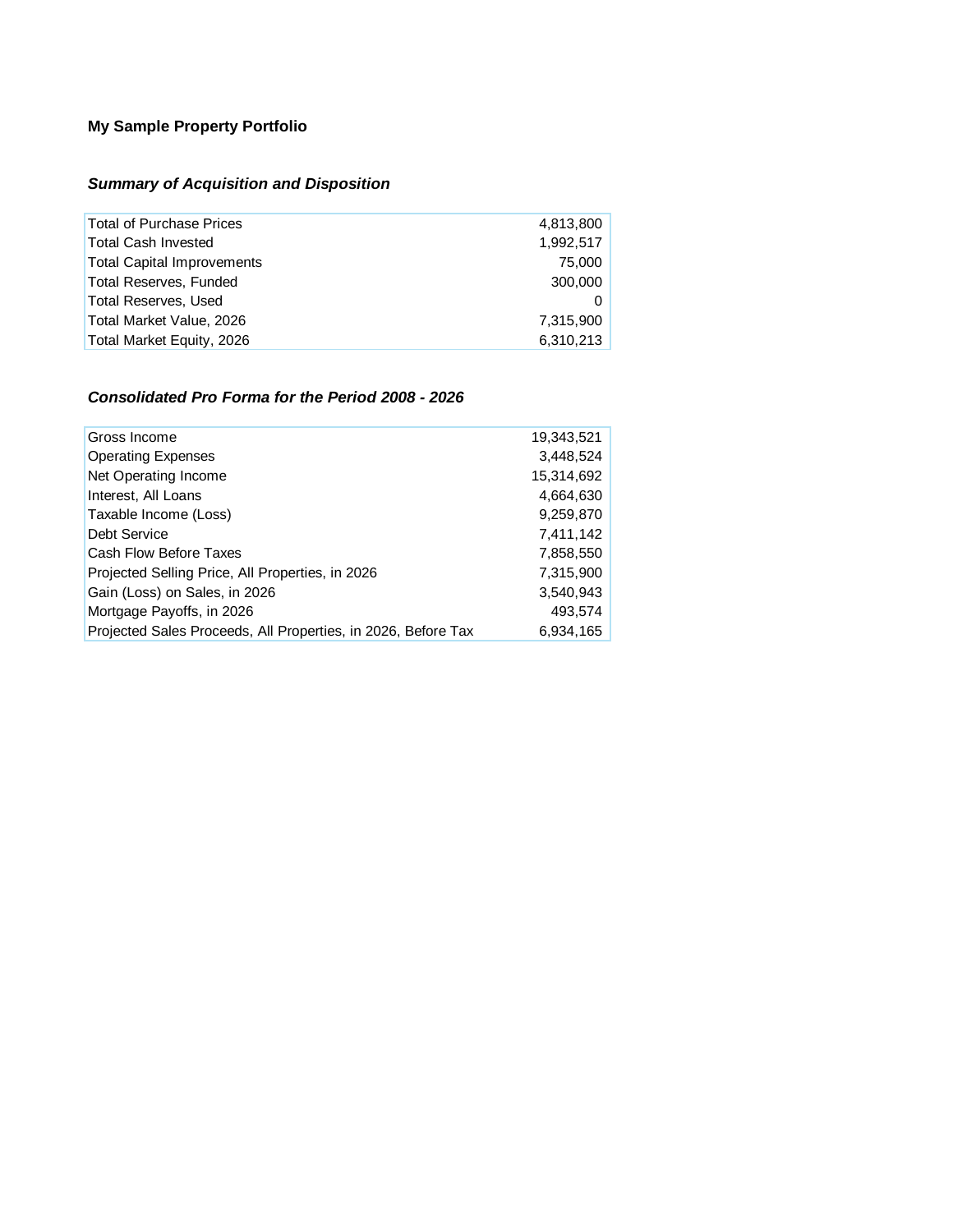# **My Sample Property Portfolio**

# *Summary of Acquisition and Disposition*

| <b>Total of Purchase Prices</b>   | 4,813,800 |
|-----------------------------------|-----------|
| <b>Total Cash Invested</b>        | 1,992,517 |
| <b>Total Capital Improvements</b> | 75,000    |
| <b>Total Reserves, Funded</b>     | 300,000   |
| <b>Total Reserves, Used</b>       |           |
| Total Market Value, 2026          | 7,315,900 |
| Total Market Equity, 2026         | 6,310,213 |

## *Consolidated Pro Forma for the Period 2008 - 2026*

| Gross Income                                                  | 19,343,521 |
|---------------------------------------------------------------|------------|
| <b>Operating Expenses</b>                                     | 3,448,524  |
| Net Operating Income                                          | 15,314,692 |
| Interest, All Loans                                           | 4,664,630  |
| Taxable Income (Loss)                                         | 9,259,870  |
| Debt Service                                                  | 7,411,142  |
| Cash Flow Before Taxes                                        | 7,858,550  |
| Projected Selling Price, All Properties, in 2026              | 7,315,900  |
| Gain (Loss) on Sales, in 2026                                 | 3,540,943  |
| Mortgage Payoffs, in 2026                                     | 493,574    |
| Projected Sales Proceeds, All Properties, in 2026, Before Tax | 6.934.165  |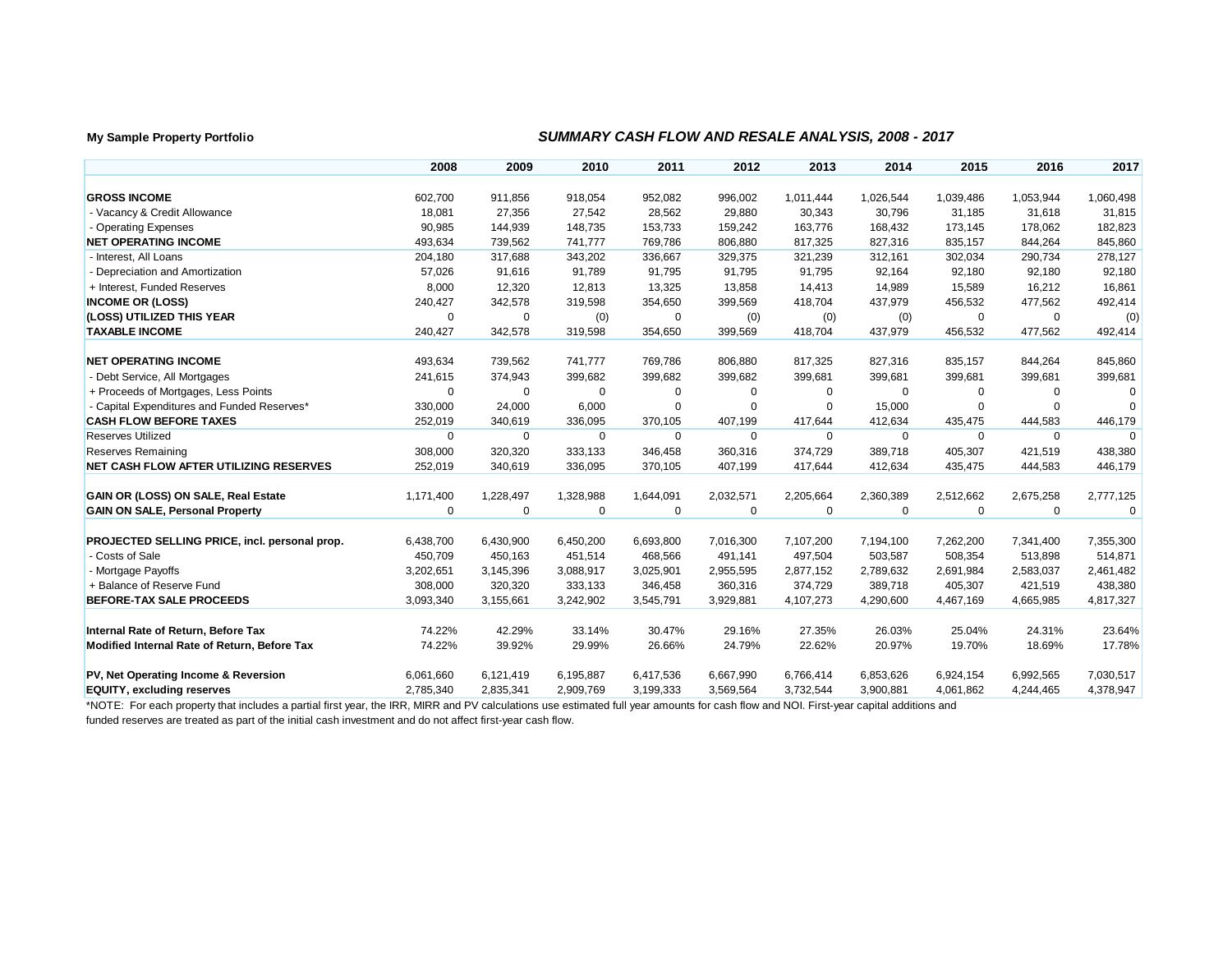### **My Sample Property Portfolio** *SUMMARY CASH FLOW AND RESALE ANALYSIS, 2008 - 2017*

|                                               | 2008        | 2009        | 2010        | 2011        | 2012      | 2013      | 2014        | 2015      | 2016        | 2017      |
|-----------------------------------------------|-------------|-------------|-------------|-------------|-----------|-----------|-------------|-----------|-------------|-----------|
| <b>GROSS INCOME</b>                           | 602,700     | 911,856     | 918,054     | 952,082     | 996,002   | 1,011,444 | 1,026,544   | 1,039,486 | 1,053,944   | 1,060,498 |
| - Vacancy & Credit Allowance                  | 18,081      | 27,356      | 27,542      | 28,562      | 29,880    | 30,343    | 30,796      | 31,185    | 31,618      | 31,815    |
| - Operating Expenses                          | 90,985      | 144,939     | 148,735     | 153,733     | 159,242   | 163,776   | 168,432     | 173,145   | 178,062     | 182,823   |
| <b>NET OPERATING INCOME</b>                   | 493,634     | 739,562     | 741,777     | 769,786     | 806,880   | 817,325   | 827,316     | 835,157   | 844,264     | 845,860   |
| - Interest, All Loans                         | 204,180     | 317,688     | 343,202     | 336,667     | 329,375   | 321,239   | 312,161     | 302,034   | 290,734     | 278,127   |
| - Depreciation and Amortization               | 57,026      | 91,616      | 91,789      | 91,795      | 91,795    | 91,795    | 92,164      | 92,180    | 92,180      | 92,180    |
| + Interest, Funded Reserves                   | 8,000       | 12,320      | 12,813      | 13,325      | 13,858    | 14,413    | 14,989      | 15,589    | 16,212      | 16,861    |
| <b>INCOME OR (LOSS)</b>                       | 240,427     | 342,578     | 319,598     | 354,650     | 399,569   | 418,704   | 437,979     | 456,532   | 477,562     | 492,414   |
| (LOSS) UTILIZED THIS YEAR                     | $\mathbf 0$ |             |             |             |           |           |             |           | $\Omega$    |           |
| <b>TAXABLE INCOME</b>                         |             | 0           | (0)         | 0           | (0)       | (0)       | (0)         | 0         |             | (0)       |
|                                               | 240,427     | 342,578     | 319,598     | 354,650     | 399,569   | 418,704   | 437,979     | 456,532   | 477,562     | 492,414   |
| <b>NET OPERATING INCOME</b>                   | 493,634     | 739,562     | 741,777     | 769,786     | 806,880   | 817,325   | 827,316     | 835,157   | 844,264     | 845,860   |
| - Debt Service, All Mortgages                 | 241,615     | 374,943     | 399,682     | 399,682     | 399,682   | 399,681   | 399,681     | 399,681   | 399,681     | 399,681   |
| + Proceeds of Mortgages, Less Points          | $\Omega$    | 0           | $\Omega$    | $\mathbf 0$ | 0         | $\Omega$  | 0           | 0         | $\Omega$    | $\Omega$  |
| - Capital Expenditures and Funded Reserves*   | 330,000     | 24,000      | 6,000       | $\Omega$    | 0         | $\Omega$  | 15,000      | 0         | $\Omega$    | $\Omega$  |
| <b>CASH FLOW BEFORE TAXES</b>                 | 252,019     | 340,619     | 336,095     | 370,105     | 407,199   | 417,644   | 412,634     | 435,475   | 444,583     | 446,179   |
| <b>Reserves Utilized</b>                      | $\Omega$    | $\Omega$    | $\Omega$    | $\Omega$    | $\Omega$  | $\Omega$  | 0           | $\Omega$  | $\Omega$    | $\Omega$  |
| <b>Reserves Remaining</b>                     | 308,000     | 320,320     | 333,133     | 346,458     | 360,316   | 374,729   | 389,718     | 405,307   | 421,519     | 438,380   |
| NET CASH FLOW AFTER UTILIZING RESERVES        | 252,019     | 340,619     | 336,095     | 370,105     | 407,199   | 417,644   | 412,634     | 435,475   | 444,583     | 446,179   |
|                                               |             |             |             |             |           |           |             |           |             |           |
| GAIN OR (LOSS) ON SALE, Real Estate           | 1,171,400   | 1,228,497   | 1,328,988   | 1,644,091   | 2,032,571 | 2,205,664 | 2,360,389   | 2,512,662 | 2,675,258   | 2,777,125 |
| <b>GAIN ON SALE, Personal Property</b>        | $\mathbf 0$ | $\mathbf 0$ | $\mathbf 0$ | $\mathbf 0$ | 0         | 0         | $\mathbf 0$ | 0         | $\mathbf 0$ | $\Omega$  |
|                                               |             |             |             |             |           |           |             |           |             |           |
| PROJECTED SELLING PRICE, incl. personal prop. | 6,438,700   | 6,430,900   | 6,450,200   | 6,693,800   | 7,016,300 | 7,107,200 | 7,194,100   | 7,262,200 | 7,341,400   | 7,355,300 |
| - Costs of Sale                               | 450,709     | 450,163     | 451,514     | 468,566     | 491,141   | 497,504   | 503,587     | 508,354   | 513,898     | 514,871   |
| - Mortgage Payoffs                            | 3,202,651   | 3,145,396   | 3,088,917   | 3,025,901   | 2,955,595 | 2,877,152 | 2,789,632   | 2,691,984 | 2,583,037   | 2,461,482 |
| + Balance of Reserve Fund                     | 308,000     | 320,320     | 333,133     | 346,458     | 360,316   | 374,729   | 389,718     | 405,307   | 421,519     | 438,380   |
| BEFORE-TAX SALE PROCEEDS                      | 3,093,340   | 3,155,661   | 3,242,902   | 3,545,791   | 3,929,881 | 4,107,273 | 4,290,600   | 4,467,169 | 4,665,985   | 4,817,327 |
| Internal Rate of Return, Before Tax           | 74.22%      | 42.29%      | 33.14%      | 30.47%      | 29.16%    | 27.35%    | 26.03%      | 25.04%    | 24.31%      | 23.64%    |
| Modified Internal Rate of Return, Before Tax  | 74.22%      | 39.92%      | 29.99%      | 26.66%      | 24.79%    | 22.62%    | 20.97%      | 19.70%    | 18.69%      | 17.78%    |
|                                               |             |             |             |             |           |           |             |           |             |           |
| PV, Net Operating Income & Reversion          | 6,061,660   | 6,121,419   | 6,195,887   | 6,417,536   | 6,667,990 | 6,766,414 | 6,853,626   | 6,924,154 | 6,992,565   | 7,030,517 |
| <b>EQUITY, excluding reserves</b>             | 2,785,340   | 2,835,341   | 2,909,769   | 3,199,333   | 3,569,564 | 3,732,544 | 3,900,881   | 4,061,862 | 4,244,465   | 4,378,947 |

\*NOTE: For each property that includes a partial first year, the IRR, MIRR and PV calculations use estimated full year amounts for cash flow and NOI. First-year capital additions and funded reserves are treated as part of the initial cash investment and do not affect first-year cash flow.